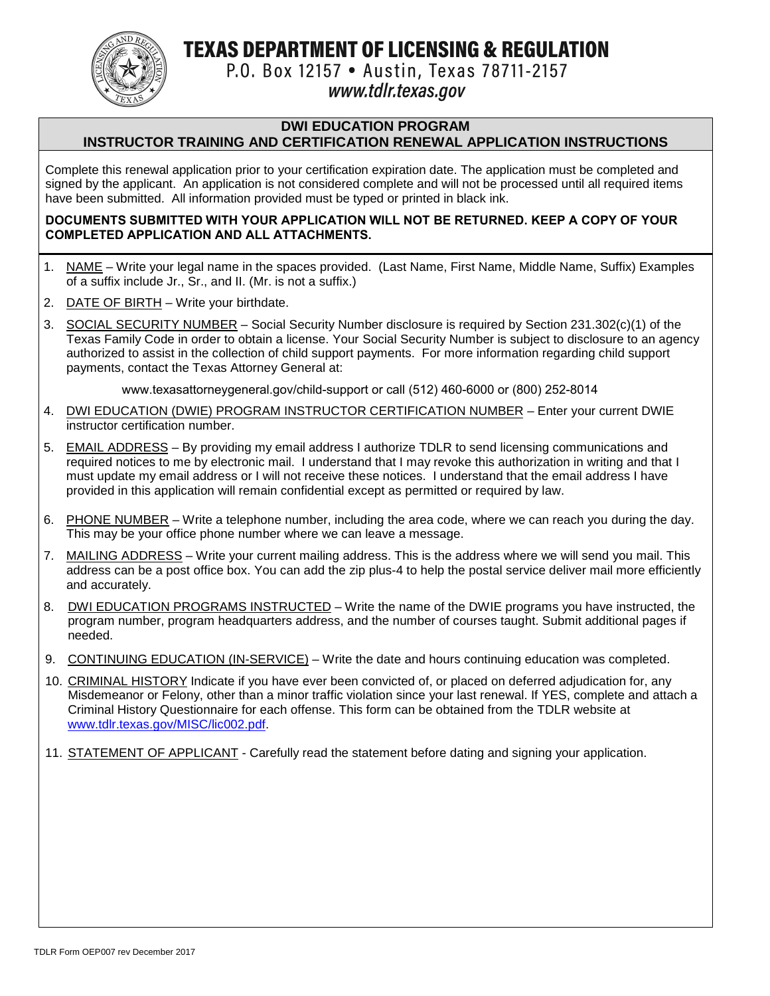TEXAS DEPARTMENT OF LICENSING & REGULATION



P.O. Box 12157 . Austin, Texas 78711-2157

# www.tdlr.texas.gov

## **DWI EDUCATION PROGRAM**

# **INSTRUCTOR TRAINING AND CERTIFICATION RENEWAL APPLICATION INSTRUCTIONS**

Complete this renewal application prior to your certification expiration date. The application must be completed and signed by the applicant. An application is not considered complete and will not be processed until all required items have been submitted. All information provided must be typed or printed in black ink.

#### **DOCUMENTS SUBMITTED WITH YOUR APPLICATION WILL NOT BE RETURNED. KEEP A COPY OF YOUR COMPLETED APPLICATION AND ALL ATTACHMENTS.**

- 1. NAME Write your legal name in the spaces provided. (Last Name, First Name, Middle Name, Suffix) Examples of a suffix include Jr., Sr., and II. (Mr. is not a suffix.)
- 2. DATE OF BIRTH Write your birthdate.
- 3. SOCIAL SECURITY NUMBER Social Security Number disclosure is required by Section 231.302(c)(1) of the Texas Family Code in order to obtain a license. Your Social Security Number is subject to disclosure to an agency authorized to assist in the collection of child support payments. For more information regarding child support payments, contact the Texas Attorney General at:

www.texasattorneygeneral.gov/child-support or call (512) 460-6000 or (800) 252-8014

- 4. DWI EDUCATION (DWIE) PROGRAM INSTRUCTOR CERTIFICATION NUMBER Enter your current DWIE instructor certification number.
- 5. EMAIL ADDRESS By providing my email address I authorize TDLR to send licensing communications and required notices to me by electronic mail. I understand that I may revoke this authorization in writing and that I must update my email address or I will not receive these notices. I understand that the email address I have provided in this application will remain confidential except as permitted or required by law.
- 6. PHONE NUMBER Write a telephone number, including the area code, where we can reach you during the day. This may be your office phone number where we can leave a message.
- 7. MAILING ADDRESS Write your current mailing address. This is the address where we will send you mail. This address can be a post office box. You can add the zip plus-4 to help the postal service deliver mail more efficiently and accurately.
- 8. DWI EDUCATION PROGRAMS INSTRUCTED Write the name of the DWIE programs you have instructed, the program number, program headquarters address, and the number of courses taught. Submit additional pages if needed.
- 9. CONTINUING EDUCATION (IN-SERVICE) Write the date and hours continuing education was completed.
- 10. CRIMINAL HISTORY Indicate if you have ever been convicted of, or placed on deferred adjudication for, any Misdemeanor or Felony, other than a minor traffic violation since your last renewal. If YES, complete and attach a Criminal History Questionnaire for each offense. This form can be obtained from the TDLR website at [www.tdlr.texas.gov/MISC/lic002.pdf.](http://www.tdlr.texas.gov/MISC/lic002.pdf)
- 11. STATEMENT OF APPLICANT Carefully read the statement before dating and signing your application.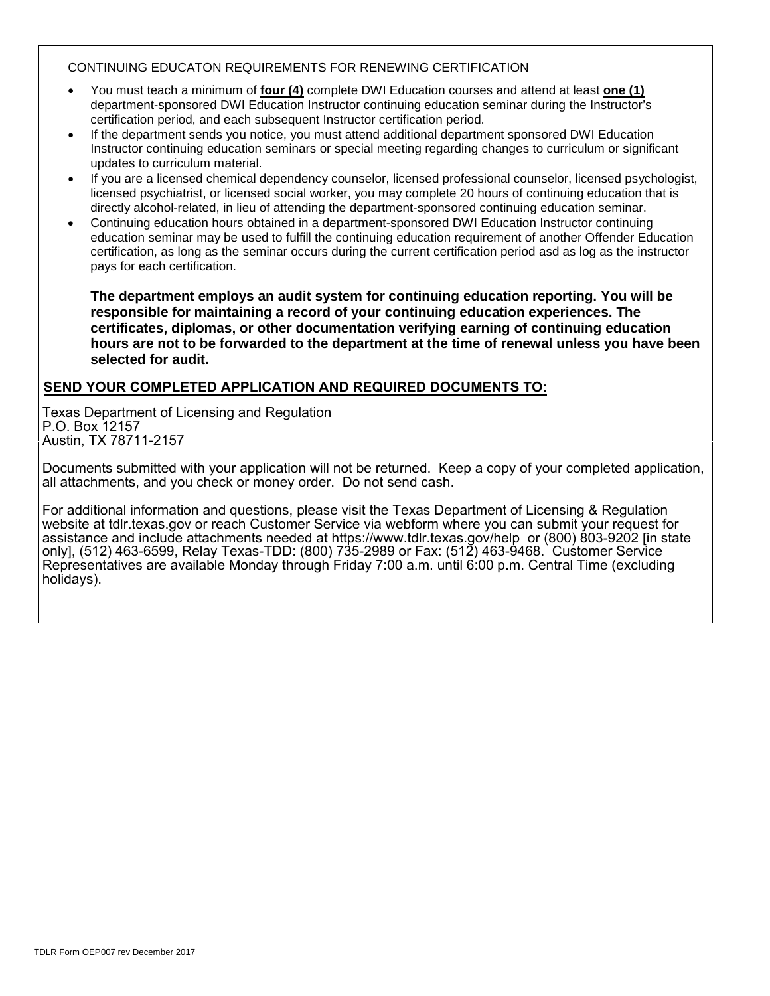#### CONTINUING EDUCATON REQUIREMENTS FOR RENEWING CERTIFICATION

- You must teach a minimum of **four (4)** complete DWI Education courses and attend at least **one (1)** department-sponsored DWI Education Instructor continuing education seminar during the Instructor's certification period, and each subsequent Instructor certification period.
- If the department sends you notice, you must attend additional department sponsored DWI Education Instructor continuing education seminars or special meeting regarding changes to curriculum or significant updates to curriculum material.
- If you are a licensed chemical dependency counselor, licensed professional counselor, licensed psychologist, licensed psychiatrist, or licensed social worker, you may complete 20 hours of continuing education that is directly alcohol-related, in lieu of attending the department-sponsored continuing education seminar.
- Continuing education hours obtained in a department-sponsored DWI Education Instructor continuing education seminar may be used to fulfill the continuing education requirement of another Offender Education certification, as long as the seminar occurs during the current certification period asd as log as the instructor pays for each certification.

**The department employs an audit system for continuing education reporting. You will be responsible for maintaining a record of your continuing education experiences. The certificates, diplomas, or other documentation verifying earning of continuing education hours are not to be forwarded to the department at the time of renewal unless you have been selected for audit.**

### **SEND YOUR COMPLETED APPLICATION AND REQUIRED DOCUMENTS TO:**

Texas Department of Licensing and Regulation P.O. Box 12157 Austin, TX 78711-2157

Documents submitted with your application will not be returned. Keep a copy of your completed application, all attachments, and you check or money order. Do not send cash.

For additional information and questions, please visit the Texas Department of Licensing & Regulation website at tdlr.texas.gov or reach Customer Service via webform where you can submit your request for assistance and include attachments needed at https://www.tdlr.texas.gov/help or (800) 803-9202 [in state only], (512) 463-6599, Relay Texas-TDD: (800) 735-2989 or Fax: (512) 463-9468. Customer Service Representatives are available Monday through Friday 7:00 a.m. until 6:00 p.m. Central Time (excluding holidays).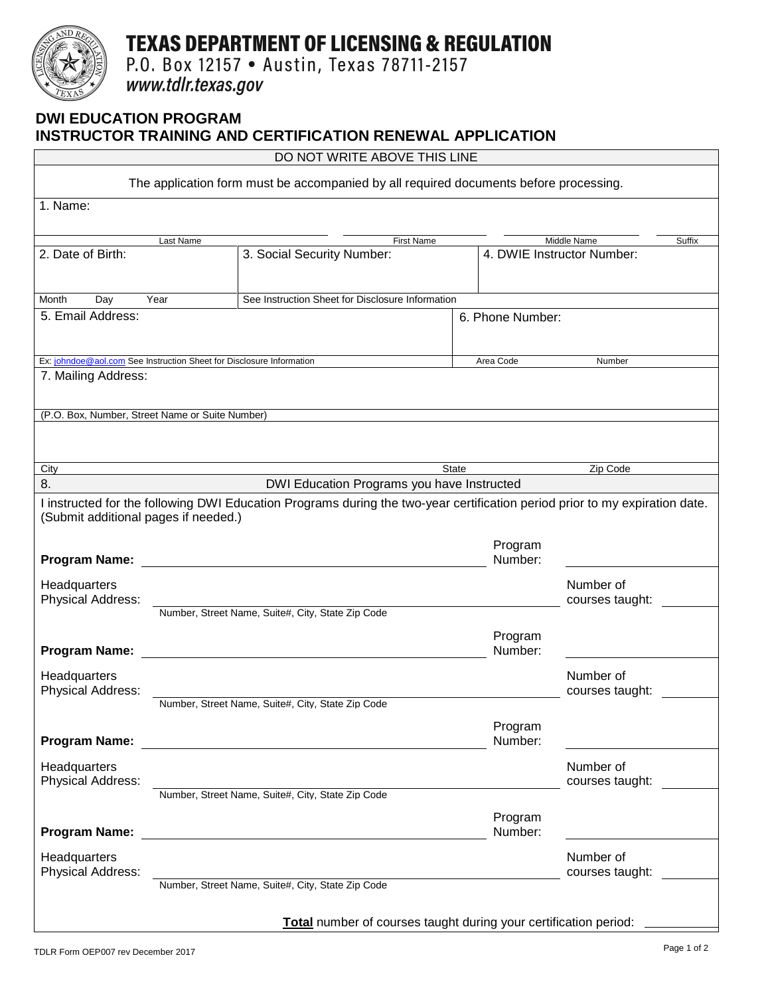# **TEXAS DEPARTMENT OF LICENSING & REGULATION**

P.O. Box 12157 . Austin, Texas 78711-2157

www.tdlr.texas.gov

## **DWI EDUCATION PROGRAM INSTRUCTOR TRAINING AND CERTIFICATION RENEWAL APPLICATION**

DO NOT WRITE ABOVE THIS LINE

| The application form must be accompanied by all required documents before processing. |                                                   |                                                                                                                             |                   |                       |                            |  |  |  |  |
|---------------------------------------------------------------------------------------|---------------------------------------------------|-----------------------------------------------------------------------------------------------------------------------------|-------------------|-----------------------|----------------------------|--|--|--|--|
| 1. Name:                                                                              |                                                   |                                                                                                                             |                   |                       |                            |  |  |  |  |
|                                                                                       |                                                   |                                                                                                                             |                   |                       |                            |  |  |  |  |
| Last Name                                                                             |                                                   |                                                                                                                             | <b>First Name</b> | Middle Name<br>Suffix |                            |  |  |  |  |
| 2. Date of Birth:                                                                     |                                                   | 3. Social Security Number:                                                                                                  |                   |                       | 4. DWIE Instructor Number: |  |  |  |  |
|                                                                                       |                                                   |                                                                                                                             |                   |                       |                            |  |  |  |  |
| Day<br>Year<br>See Instruction Sheet for Disclosure Information<br>Month              |                                                   |                                                                                                                             |                   |                       |                            |  |  |  |  |
| 5. Email Address:                                                                     |                                                   |                                                                                                                             |                   | 6. Phone Number:      |                            |  |  |  |  |
|                                                                                       |                                                   |                                                                                                                             |                   |                       |                            |  |  |  |  |
| Ex: johndoe@aol.com See Instruction Sheet for Disclosure Information                  |                                                   |                                                                                                                             |                   | Area Code<br>Number   |                            |  |  |  |  |
| 7. Mailing Address:                                                                   |                                                   |                                                                                                                             |                   |                       |                            |  |  |  |  |
|                                                                                       |                                                   |                                                                                                                             |                   |                       |                            |  |  |  |  |
| (P.O. Box, Number, Street Name or Suite Number)                                       |                                                   |                                                                                                                             |                   |                       |                            |  |  |  |  |
|                                                                                       |                                                   |                                                                                                                             |                   |                       |                            |  |  |  |  |
|                                                                                       |                                                   |                                                                                                                             |                   |                       |                            |  |  |  |  |
| City                                                                                  |                                                   |                                                                                                                             | <b>State</b>      |                       | Zip Code                   |  |  |  |  |
| 8.                                                                                    | DWI Education Programs you have Instructed        |                                                                                                                             |                   |                       |                            |  |  |  |  |
|                                                                                       |                                                   | I instructed for the following DWI Education Programs during the two-year certification period prior to my expiration date. |                   |                       |                            |  |  |  |  |
| (Submit additional pages if needed.)                                                  |                                                   |                                                                                                                             |                   |                       |                            |  |  |  |  |
|                                                                                       |                                                   |                                                                                                                             |                   |                       |                            |  |  |  |  |
| <b>Program Name:</b>                                                                  |                                                   |                                                                                                                             |                   | Program<br>Number:    |                            |  |  |  |  |
|                                                                                       |                                                   |                                                                                                                             |                   |                       |                            |  |  |  |  |
| Headquarters                                                                          |                                                   |                                                                                                                             |                   |                       | Number of                  |  |  |  |  |
| Physical Address:                                                                     | Number, Street Name, Suite#, City, State Zip Code |                                                                                                                             |                   | courses taught:       |                            |  |  |  |  |
|                                                                                       |                                                   |                                                                                                                             |                   |                       |                            |  |  |  |  |
|                                                                                       |                                                   |                                                                                                                             |                   | Program               |                            |  |  |  |  |
| <b>Program Name:</b>                                                                  |                                                   |                                                                                                                             |                   | Number:               |                            |  |  |  |  |
| Headquarters                                                                          |                                                   |                                                                                                                             |                   |                       | Number of                  |  |  |  |  |
| Physical Address:                                                                     |                                                   |                                                                                                                             |                   |                       | courses taught:            |  |  |  |  |
|                                                                                       | Number, Street Name, Suite#, City, State Zip Code |                                                                                                                             |                   |                       |                            |  |  |  |  |
|                                                                                       |                                                   |                                                                                                                             |                   | Program               |                            |  |  |  |  |
| <b>Program Name:</b>                                                                  |                                                   |                                                                                                                             |                   | Number:               |                            |  |  |  |  |
| Headquarters                                                                          |                                                   |                                                                                                                             |                   |                       | Number of                  |  |  |  |  |
| Physical Address:                                                                     |                                                   |                                                                                                                             |                   |                       | courses taught:            |  |  |  |  |
|                                                                                       | Number, Street Name, Suite#, City, State Zip Code |                                                                                                                             |                   |                       |                            |  |  |  |  |
|                                                                                       |                                                   |                                                                                                                             |                   | Program               |                            |  |  |  |  |
| <b>Program Name:</b>                                                                  |                                                   |                                                                                                                             |                   | Number:               |                            |  |  |  |  |
| Headquarters                                                                          |                                                   |                                                                                                                             |                   |                       | Number of                  |  |  |  |  |
| Physical Address:                                                                     |                                                   |                                                                                                                             |                   |                       | courses taught:            |  |  |  |  |
|                                                                                       |                                                   | Number, Street Name, Suite#, City, State Zip Code                                                                           |                   |                       |                            |  |  |  |  |
|                                                                                       |                                                   |                                                                                                                             |                   |                       |                            |  |  |  |  |
| Total number of courses taught during your certification period:                      |                                                   |                                                                                                                             |                   |                       |                            |  |  |  |  |
|                                                                                       |                                                   |                                                                                                                             |                   |                       |                            |  |  |  |  |